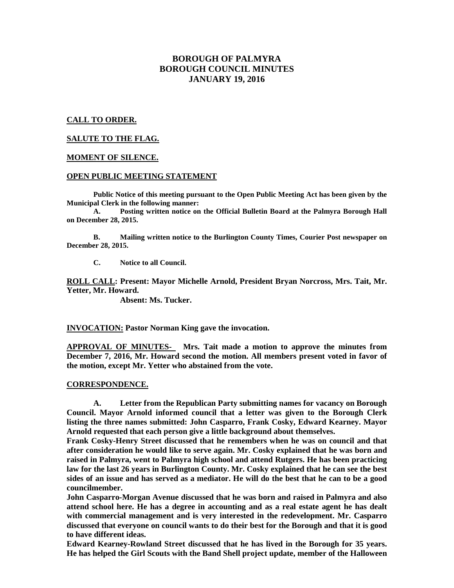# **BOROUGH OF PALMYRA BOROUGH COUNCIL MINUTES JANUARY 19, 2016**

# **CALL TO ORDER.**

# **SALUTE TO THE FLAG.**

### **MOMENT OF SILENCE.**

# **OPEN PUBLIC MEETING STATEMENT**

**Public Notice of this meeting pursuant to the Open Public Meeting Act has been given by the Municipal Clerk in the following manner:** 

 **A. Posting written notice on the Official Bulletin Board at the Palmyra Borough Hall on December 28, 2015.** 

 **B. Mailing written notice to the Burlington County Times, Courier Post newspaper on December 28, 2015.** 

 **C. Notice to all Council.** 

**ROLL CALL: Present: Mayor Michelle Arnold, President Bryan Norcross, Mrs. Tait, Mr. Yetter, Mr. Howard.** 

 **Absent: Ms. Tucker.** 

**INVOCATION: Pastor Norman King gave the invocation.**

**APPROVAL OF MINUTES- Mrs. Tait made a motion to approve the minutes from December 7, 2016, Mr. Howard second the motion. All members present voted in favor of the motion, except Mr. Yetter who abstained from the vote.** 

### **CORRESPONDENCE.**

**A. Letter from the Republican Party submitting names for vacancy on Borough Council. Mayor Arnold informed council that a letter was given to the Borough Clerk listing the three names submitted: John Casparro, Frank Cosky, Edward Kearney. Mayor Arnold requested that each person give a little background about themselves.** 

**Frank Cosky-Henry Street discussed that he remembers when he was on council and that after consideration he would like to serve again. Mr. Cosky explained that he was born and raised in Palmyra, went to Palmyra high school and attend Rutgers. He has been practicing law for the last 26 years in Burlington County. Mr. Cosky explained that he can see the best sides of an issue and has served as a mediator. He will do the best that he can to be a good councilmember.** 

**John Casparro-Morgan Avenue discussed that he was born and raised in Palmyra and also attend school here. He has a degree in accounting and as a real estate agent he has dealt with commercial management and is very interested in the redevelopment. Mr. Casparro discussed that everyone on council wants to do their best for the Borough and that it is good to have different ideas.** 

**Edward Kearney-Rowland Street discussed that he has lived in the Borough for 35 years. He has helped the Girl Scouts with the Band Shell project update, member of the Halloween**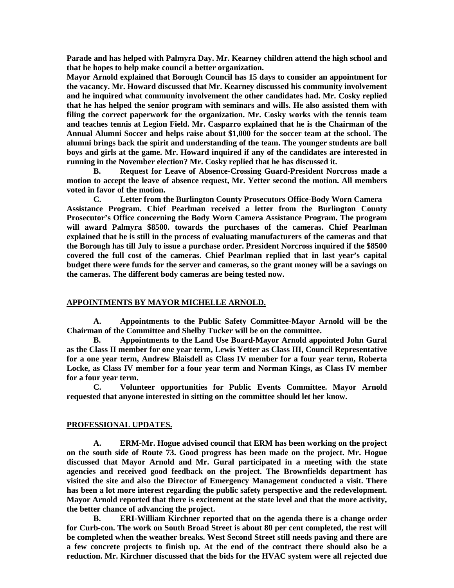**Parade and has helped with Palmyra Day. Mr. Kearney children attend the high school and that he hopes to help make council a better organization.** 

**Mayor Arnold explained that Borough Council has 15 days to consider an appointment for the vacancy. Mr. Howard discussed that Mr. Kearney discussed his community involvement and he inquired what community involvement the other candidates had. Mr. Cosky replied that he has helped the senior program with seminars and wills. He also assisted them with filing the correct paperwork for the organization. Mr. Cosky works with the tennis team and teaches tennis at Legion Field. Mr. Casparro explained that he is the Chairman of the Annual Alumni Soccer and helps raise about \$1,000 for the soccer team at the school. The alumni brings back the spirit and understanding of the team. The younger students are ball boys and girls at the game. Mr. Howard inquired if any of the candidates are interested in running in the November election? Mr. Cosky replied that he has discussed it.** 

 **B. Request for Leave of Absence-Crossing Guard-President Norcross made a motion to accept the leave of absence request, Mr. Yetter second the motion. All members voted in favor of the motion.** 

**C. Letter from the Burlington County Prosecutors Office-Body Worn Camera Assistance Program. Chief Pearlman received a letter from the Burlington County Prosecutor's Office concerning the Body Worn Camera Assistance Program. The program will award Palmyra \$8500. towards the purchases of the cameras. Chief Pearlman explained that he is still in the process of evaluating manufacturers of the cameras and that the Borough has till July to issue a purchase order. President Norcross inquired if the \$8500 covered the full cost of the cameras. Chief Pearlman replied that in last year's capital budget there were funds for the server and cameras, so the grant money will be a savings on the cameras. The different body cameras are being tested now.** 

### **APPOINTMENTS BY MAYOR MICHELLE ARNOLD.**

 **A. Appointments to the Public Safety Committee-Mayor Arnold will be the Chairman of the Committee and Shelby Tucker will be on the committee.** 

 **B. Appointments to the Land Use Board-Mayor Arnold appointed John Gural as the Class II member for one year term, Lewis Yetter as Class III, Council Representative for a one year term, Andrew Blaisdell as Class IV member for a four year term, Roberta Locke, as Class IV member for a four year term and Norman Kings, as Class IV member for a four year term.** 

 **C. Volunteer opportunities for Public Events Committee. Mayor Arnold requested that anyone interested in sitting on the committee should let her know.** 

# **PROFESSIONAL UPDATES.**

 **A. ERM-Mr. Hogue advised council that ERM has been working on the project on the south side of Route 73. Good progress has been made on the project. Mr. Hogue discussed that Mayor Arnold and Mr. Gural participated in a meeting with the state agencies and received good feedback on the project. The Brownfields department has visited the site and also the Director of Emergency Management conducted a visit. There has been a lot more interest regarding the public safety perspective and the redevelopment. Mayor Arnold reported that there is excitement at the state level and that the more activity, the better chance of advancing the project.** 

 **B. ERI-William Kirchner reported that on the agenda there is a change order for Curb-con. The work on South Broad Street is about 80 per cent completed, the rest will be completed when the weather breaks. West Second Street still needs paving and there are a few concrete projects to finish up. At the end of the contract there should also be a reduction. Mr. Kirchner discussed that the bids for the HVAC system were all rejected due**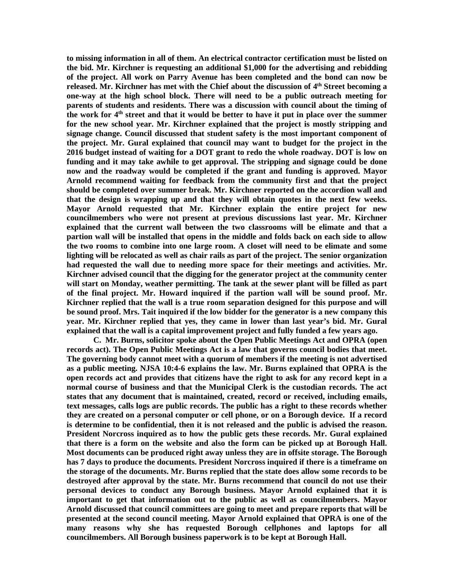**to missing information in all of them. An electrical contractor certification must be listed on the bid. Mr. Kirchner is requesting an additional \$1,000 for the advertising and rebidding of the project. All work on Parry Avenue has been completed and the bond can now be released. Mr. Kirchner has met with the Chief about the discussion of 4th Street becoming a one-way at the high school block. There will need to be a public outreach meeting for parents of students and residents. There was a discussion with council about the timing of the work for 4th street and that it would be better to have it put in place over the summer for the new school year. Mr. Kirchner explained that the project is mostly stripping and signage change. Council discussed that student safety is the most important component of the project. Mr. Gural explained that council may want to budget for the project in the 2016 budget instead of waiting for a DOT grant to redo the whole roadway. DOT is low on funding and it may take awhile to get approval. The stripping and signage could be done now and the roadway would be completed if the grant and funding is approved. Mayor Arnold recommend waiting for feedback from the community first and that the project should be completed over summer break. Mr. Kirchner reported on the accordion wall and that the design is wrapping up and that they will obtain quotes in the next few weeks. Mayor Arnold requested that Mr. Kirchner explain the entire project for new councilmembers who were not present at previous discussions last year. Mr. Kirchner explained that the current wall between the two classrooms will be elimate and that a partion wall will be installed that opens in the middle and folds back on each side to allow the two rooms to combine into one large room. A closet will need to be elimate and some lighting will be relocated as well as chair rails as part of the project. The senior organization had requested the wall due to needing more space for their meetings and activities. Mr. Kirchner advised council that the digging for the generator project at the community center will start on Monday, weather permitting. The tank at the sewer plant will be filled as part of the final project. Mr. Howard inquired if the partion wall will be sound proof. Mr. Kirchner replied that the wall is a true room separation designed for this purpose and will be sound proof. Mrs. Tait inquired if the low bidder for the generator is a new company this year. Mr. Kirchner replied that yes, they came in lower than last year's bid. Mr. Gural explained that the wall is a capital improvement project and fully funded a few years ago.** 

 **C. Mr. Burns, solicitor spoke about the Open Public Meetings Act and OPRA (open records act). The Open Public Meetings Act is a law that governs council bodies that meet. The governing body cannot meet with a quorum of members if the meeting is not advertised as a public meeting. NJSA 10:4-6 explains the law. Mr. Burns explained that OPRA is the open records act and provides that citizens have the right to ask for any record kept in a normal course of business and that the Municipal Clerk is the custodian records. The act states that any document that is maintained, created, record or received, including emails, text messages, calls logs are public records. The public has a right to these records whether they are created on a personal computer or cell phone, or on a Borough device. If a record is determine to be confidential, then it is not released and the public is advised the reason. President Norcross inquired as to how the public gets these records. Mr. Gural explained that there is a form on the website and also the form can be picked up at Borough Hall. Most documents can be produced right away unless they are in offsite storage. The Borough has 7 days to produce the documents. President Norcross inquired if there is a timeframe on the storage of the documents. Mr. Burns replied that the state does allow some records to be destroyed after approval by the state. Mr. Burns recommend that council do not use their personal devices to conduct any Borough business. Mayor Arnold explained that it is important to get that information out to the public as well as councilmembers. Mayor Arnold discussed that council committees are going to meet and prepare reports that will be presented at the second council meeting. Mayor Arnold explained that OPRA is one of the many reasons why she has requested Borough cellphones and laptops for all councilmembers. All Borough business paperwork is to be kept at Borough Hall.**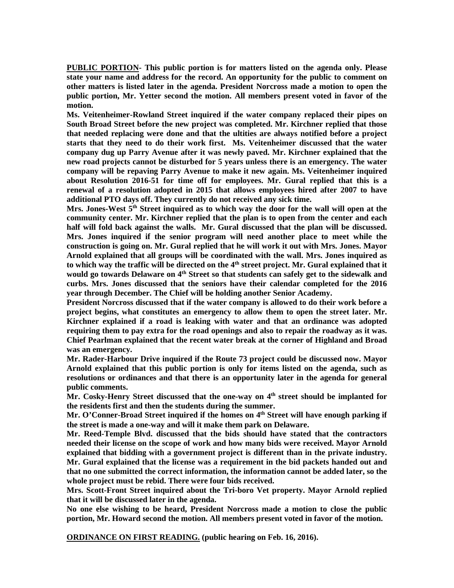**PUBLIC PORTION- This public portion is for matters listed on the agenda only. Please state your name and address for the record. An opportunity for the public to comment on other matters is listed later in the agenda. President Norcross made a motion to open the public portion, Mr. Yetter second the motion. All members present voted in favor of the motion.** 

**Ms. Veitenheimer-Rowland Street inquired if the water company replaced their pipes on South Broad Street before the new project was completed. Mr. Kirchner replied that those that needed replacing were done and that the ultities are always notified before a project starts that they need to do their work first. Ms. Veitenheimer discussed that the water company dug up Parry Avenue after it was newly paved. Mr. Kirchner explained that the new road projects cannot be disturbed for 5 years unless there is an emergency. The water company will be repaving Parry Avenue to make it new again. Ms. Veitenheimer inquired about Resolution 2016-51 for time off for employees. Mr. Gural replied that this is a renewal of a resolution adopted in 2015 that allows employees hired after 2007 to have additional PTO days off. They currently do not received any sick time.** 

**Mrs. Jones-West 5th Street inquired as to which way the door for the wall will open at the community center. Mr. Kirchner replied that the plan is to open from the center and each half will fold back against the walls. Mr. Gural discussed that the plan will be discussed. Mrs. Jones inquired if the senior program will need another place to meet while the construction is going on. Mr. Gural replied that he will work it out with Mrs. Jones. Mayor Arnold explained that all groups will be coordinated with the wall. Mrs. Jones inquired as to which way the traffic will be directed on the 4th street project. Mr. Gural explained that it would go towards Delaware on 4th Street so that students can safely get to the sidewalk and curbs. Mrs. Jones discussed that the seniors have their calendar completed for the 2016 year through December. The Chief will be holding another Senior Academy.** 

**President Norcross discussed that if the water company is allowed to do their work before a project begins, what constitutes an emergency to allow them to open the street later. Mr. Kirchner explained if a road is leaking with water and that an ordinance was adopted requiring them to pay extra for the road openings and also to repair the roadway as it was. Chief Pearlman explained that the recent water break at the corner of Highland and Broad was an emergency.** 

**Mr. Rader-Harbour Drive inquired if the Route 73 project could be discussed now. Mayor Arnold explained that this public portion is only for items listed on the agenda, such as resolutions or ordinances and that there is an opportunity later in the agenda for general public comments.** 

**Mr. Cosky-Henry Street discussed that the one-way on 4th street should be implanted for the residents first and then the students during the summer.** 

Mr. O'Conner-Broad Street inquired if the homes on 4<sup>th</sup> Street will have enough parking if **the street is made a one-way and will it make them park on Delaware.** 

**Mr. Reed-Temple Blvd. discussed that the bids should have stated that the contractors needed their license on the scope of work and how many bids were received. Mayor Arnold explained that bidding with a government project is different than in the private industry. Mr. Gural explained that the license was a requirement in the bid packets handed out and that no one submitted the correct information, the information cannot be added later, so the whole project must be rebid. There were four bids received.** 

**Mrs. Scott-Front Street inquired about the Tri-boro Vet property. Mayor Arnold replied that it will be discussed later in the agenda.** 

**No one else wishing to be heard, President Norcross made a motion to close the public portion, Mr. Howard second the motion. All members present voted in favor of the motion.** 

**ORDINANCE ON FIRST READING. (public hearing on Feb. 16, 2016).**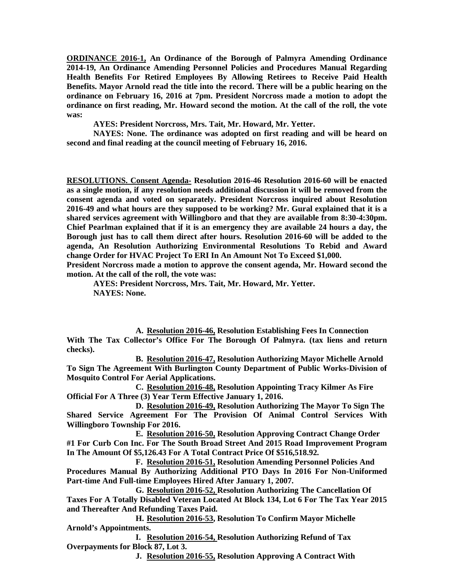**ORDINANCE 2016-1, An Ordinance of the Borough of Palmyra Amending Ordinance 2014-19, An Ordinance Amending Personnel Policies and Procedures Manual Regarding Health Benefits For Retired Employees By Allowing Retirees to Receive Paid Health Benefits. Mayor Arnold read the title into the record. There will be a public hearing on the ordinance on February 16, 2016 at 7pm. President Norcross made a motion to adopt the ordinance on first reading, Mr. Howard second the motion. At the call of the roll, the vote was:** 

 **AYES: President Norcross, Mrs. Tait, Mr. Howard, Mr. Yetter.** 

 **NAYES: None. The ordinance was adopted on first reading and will be heard on second and final reading at the council meeting of February 16, 2016.** 

**RESOLUTIONS. Consent Agenda- Resolution 2016-46 Resolution 2016-60 will be enacted as a single motion, if any resolution needs additional discussion it will be removed from the consent agenda and voted on separately. President Norcross inquired about Resolution 2016-49 and what hours are they supposed to be working? Mr. Gural explained that it is a shared services agreement with Willingboro and that they are available from 8:30-4:30pm. Chief Pearlman explained that if it is an emergency they are available 24 hours a day, the Borough just has to call them direct after hours. Resolution 2016-60 will be added to the agenda, An Resolution Authorizing Environmental Resolutions To Rebid and Award change Order for HVAC Project To ERI In An Amount Not To Exceed \$1,000.** 

**President Norcross made a motion to approve the consent agenda, Mr. Howard second the motion. At the call of the roll, the vote was:** 

**AYES: President Norcross, Mrs. Tait, Mr. Howard, Mr. Yetter. NAYES: None.** 

**A. Resolution 2016-46, Resolution Establishing Fees In Connection With The Tax Collector's Office For The Borough Of Palmyra. (tax liens and return checks).** 

**B. Resolution 2016-47, Resolution Authorizing Mayor Michelle Arnold To Sign The Agreement With Burlington County Department of Public Works-Division of Mosquito Control For Aerial Applications.** 

**C. Resolution 2016-48, Resolution Appointing Tracy Kilmer As Fire Official For A Three (3) Year Term Effective January 1, 2016.** 

**D. Resolution 2016-49, Resolution Authorizing The Mayor To Sign The Shared Service Agreement For The Provision Of Animal Control Services With Willingboro Township For 2016.** 

**E. Resolution 2016-50, Resolution Approving Contract Change Order #1 For Curb Con Inc. For The South Broad Street And 2015 Road Improvement Program In The Amount Of \$5,126.43 For A Total Contract Price Of \$516,518.92.** 

**F. Resolution 2016-51, Resolution Amending Personnel Policies And Procedures Manual By Authorizing Additional PTO Days In 2016 For Non-Uniformed Part-time And Full-time Employees Hired After January 1, 2007.** 

**G. Resolution 2016-52, Resolution Authorizing The Cancellation Of Taxes For A Totally Disabled Veteran Located At Block 134, Lot 6 For The Tax Year 2015 and Thereafter And Refunding Taxes Paid.** 

**H. Resolution 2016-53, Resolution To Confirm Mayor Michelle Arnold's Appointments.** 

**I. Resolution 2016-54, Resolution Authorizing Refund of Tax Overpayments for Block 87, Lot 3.** 

**J. Resolution 2016-55, Resolution Approving A Contract With**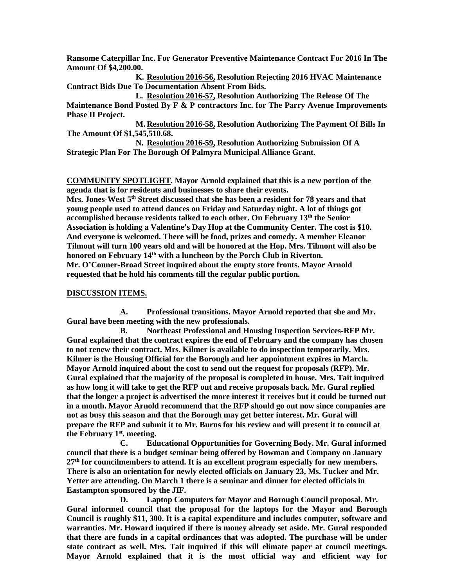**Ransome Caterpillar Inc. For Generator Preventive Maintenance Contract For 2016 In The Amount Of \$4,200.00.** 

**K. Resolution 2016-56, Resolution Rejecting 2016 HVAC Maintenance Contract Bids Due To Documentation Absent From Bids.** 

**L. Resolution 2016-57, Resolution Authorizing The Release Of The Maintenance Bond Posted By F & P contractors Inc. for The Parry Avenue Improvements Phase II Project.** 

**M. Resolution 2016-58, Resolution Authorizing The Payment Of Bills In The Amount Of \$1,545,510.68.** 

**N. Resolution 2016-59, Resolution Authorizing Submission Of A Strategic Plan For The Borough Of Palmyra Municipal Alliance Grant.** 

**COMMUNITY SPOTLIGHT. Mayor Arnold explained that this is a new portion of the agenda that is for residents and businesses to share their events.** 

**Mrs. Jones-West 5th Street discussed that she has been a resident for 78 years and that young people used to attend dances on Friday and Saturday night. A lot of things got accomplished because residents talked to each other. On February 13th the Senior Association is holding a Valentine's Day Hop at the Community Center. The cost is \$10. And everyone is welcomed. There will be food, prizes and comedy. A member Eleanor Tilmont will turn 100 years old and will be honored at the Hop. Mrs. Tilmont will also be honored on February 14th with a luncheon by the Porch Club in Riverton. Mr. O'Conner-Broad Street inquired about the empty store fronts. Mayor Arnold requested that he hold his comments till the regular public portion.** 

### **DISCUSSION ITEMS.**

**A. Professional transitions. Mayor Arnold reported that she and Mr. Gural have been meeting with the new professionals.**

**B. Northeast Professional and Housing Inspection Services-RFP Mr. Gural explained that the contract expires the end of February and the company has chosen to not renew their contract. Mrs. Kilmer is available to do inspection temporarily. Mrs. Kilmer is the Housing Official for the Borough and her appointment expires in March. Mayor Arnold inquired about the cost to send out the request for proposals (RFP). Mr. Gural explained that the majority of the proposal is completed in house. Mrs. Tait inquired as how long it will take to get the RFP out and receive proposals back. Mr. Gural replied that the longer a project is advertised the more interest it receives but it could be turned out in a month. Mayor Arnold recommend that the RFP should go out now since companies are not as busy this season and that the Borough may get better interest. Mr. Gural will prepare the RFP and submit it to Mr. Burns for his review and will present it to council at the February 1st. meeting.** 

**C. Educational Opportunities for Governing Body. Mr. Gural informed council that there is a budget seminar being offered by Bowman and Company on January 27th for councilmembers to attend. It is an excellent program especially for new members. There is also an orientation for newly elected officials on January 23, Ms. Tucker and Mr. Yetter are attending. On March 1 there is a seminar and dinner for elected officials in Eastampton sponsored by the JIF.** 

**D. Laptop Computers for Mayor and Borough Council proposal. Mr. Gural informed council that the proposal for the laptops for the Mayor and Borough Council is roughly \$11, 300. It is a capital expenditure and includes computer, software and warranties. Mr. Howard inquired if there is money already set aside. Mr. Gural responded that there are funds in a capital ordinances that was adopted. The purchase will be under state contract as well. Mrs. Tait inquired if this will elimate paper at council meetings. Mayor Arnold explained that it is the most official way and efficient way for**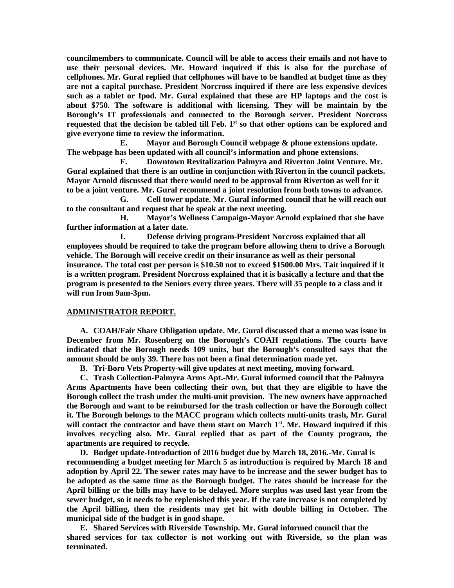**councilmembers to communicate. Council will be able to access their emails and not have to use their personal devices. Mr. Howard inquired if this is also for the purchase of cellphones. Mr. Gural replied that cellphones will have to be handled at budget time as they are not a capital purchase. President Norcross inquired if there are less expensive devices such as a tablet or Ipod. Mr. Gural explained that these are HP laptops and the cost is about \$750. The software is additional with licensing. They will be maintain by the Borough's IT professionals and connected to the Borough server. President Norcross requested that the decision be tabled till Feb. 1st so that other options can be explored and give everyone time to review the information.** 

**E. Mayor and Borough Council webpage & phone extensions update. The webpage has been updated with all council's information and phone extensions.** 

**F. Downtown Revitalization Palmyra and Riverton Joint Venture. Mr. Gural explained that there is an outline in conjunction with Riverton in the council packets. Mayor Arnold discussed that there would need to be approval from Riverton as well for it to be a joint venture. Mr. Gural recommend a joint resolution from both towns to advance.** 

**G. Cell tower update. Mr. Gural informed council that he will reach out to the consultant and request that he speak at the next meeting.** 

**H. Mayor's Wellness Campaign-Mayor Arnold explained that she have further information at a later date.** 

 **I. Defense driving program-President Norcross explained that all employees should be required to take the program before allowing them to drive a Borough vehicle. The Borough will receive credit on their insurance as well as their personal insurance. The total cost per person is \$10.50 not to exceed \$1500.00 Mrs. Tait inquired if it is a written program. President Norcross explained that it is basically a lecture and that the program is presented to the Seniors every three years. There will 35 people to a class and it will run from 9am-3pm.** 

### **ADMINISTRATOR REPORT.**

**A. COAH/Fair Share Obligation update. Mr. Gural discussed that a memo was issue in December from Mr. Rosenberg on the Borough's COAH regulations. The courts have indicated that the Borough needs 109 units, but the Borough's consulted says that the amount should be only 39. There has not been a final determination made yet.** 

**B. Tri-Boro Vets Property-will give updates at next meeting, moving forward.** 

**C. Trash Collection-Palmyra Arms Apt.-Mr. Gural informed council that the Palmyra Arms Apartments have been collecting their own, but that they are eligible to have the Borough collect the trash under the multi-unit provision. The new owners have approached the Borough and want to be reimbursed for the trash collection or have the Borough collect it. The Borough belongs to the MACC program which collects multi-units trash, Mr. Gural will contact the contractor and have them start on March 1st. Mr. Howard inquired if this involves recycling also. Mr. Gural replied that as part of the County program, the apartments are required to recycle.** 

**D. Budget update-Introduction of 2016 budget due by March 18, 2016.-Mr. Gural is recommending a budget meeting for March 5 as introduction is required by March 18 and adoption by April 22. The sewer rates may have to be increase and the sewer budget has to be adopted as the same time as the Borough budget. The rates should be increase for the April billing or the bills may have to be delayed. More surplus was used last year from the sewer budget, so it needs to be replenished this year. If the rate increase is not completed by the April billing, then the residents may get hit with double billing in October. The municipal side of the budget is in good shape.** 

**E. Shared Services with Riverside Township. Mr. Gural informed council that the shared services for tax collector is not working out with Riverside, so the plan was terminated.**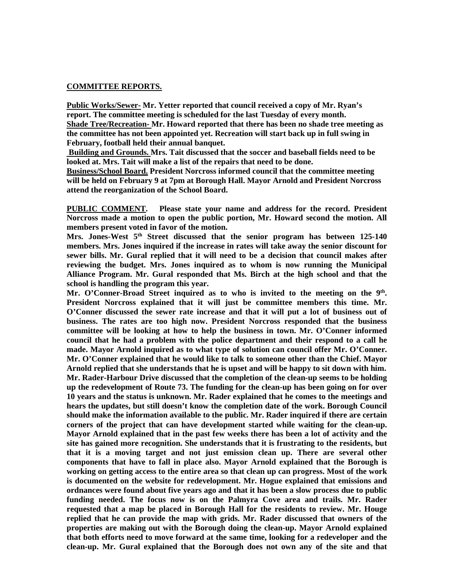### **COMMITTEE REPORTS.**

**Public Works/Sewer- Mr. Yetter reported that council received a copy of Mr. Ryan's report. The committee meeting is scheduled for the last Tuesday of every month. Shade Tree/Recreation- Mr. Howard reported that there has been no shade tree meeting as the committee has not been appointed yet. Recreation will start back up in full swing in February, football held their annual banquet.** 

 **Building and Grounds. Mrs. Tait discussed that the soccer and baseball fields need to be looked at. Mrs. Tait will make a list of the repairs that need to be done.** 

**Business/School Board. President Norcross informed council that the committee meeting will be held on February 9 at 7pm at Borough Hall. Mayor Arnold and President Norcross attend the reorganization of the School Board.** 

**PUBLIC COMMENT. Please state your name and address for the record. President Norcross made a motion to open the public portion, Mr. Howard second the motion. All members present voted in favor of the motion.** 

**Mrs. Jones-West 5th Street discussed that the senior program has between 125-140 members. Mrs. Jones inquired if the increase in rates will take away the senior discount for sewer bills. Mr. Gural replied that it will need to be a decision that council makes after reviewing the budget. Mrs. Jones inquired as to whom is now running the Municipal Alliance Program. Mr. Gural responded that Ms. Birch at the high school and that the school is handling the program this year.** 

**Mr. O'Conner-Broad Street inquired as to who is invited to the meeting on the 9th . President Norcross explained that it will just be committee members this time. Mr. O'Conner discussed the sewer rate increase and that it will put a lot of business out of business. The rates are too high now. President Norcross responded that the business committee will be looking at how to help the business in town. Mr. O'Conner informed council that he had a problem with the police department and their respond to a call he made. Mayor Arnold inquired as to what type of solution can council offer Mr. O'Conner. Mr. O'Conner explained that he would like to talk to someone other than the Chief. Mayor Arnold replied that she understands that he is upset and will be happy to sit down with him. Mr. Rader-Harbour Drive discussed that the completion of the clean-up seems to be holding up the redevelopment of Route 73. The funding for the clean-up has been going on for over 10 years and the status is unknown. Mr. Rader explained that he comes to the meetings and hears the updates, but still doesn't know the completion date of the work. Borough Council should make the information available to the public. Mr. Rader inquired if there are certain corners of the project that can have development started while waiting for the clean-up. Mayor Arnold explained that in the past few weeks there has been a lot of activity and the site has gained more recognition. She understands that it is frustrating to the residents, but that it is a moving target and not just emission clean up. There are several other components that have to fall in place also. Mayor Arnold explained that the Borough is working on getting access to the entire area so that clean up can progress. Most of the work is documented on the website for redevelopment. Mr. Hogue explained that emissions and ordnances were found about five years ago and that it has been a slow process due to public funding needed. The focus now is on the Palmyra Cove area and trails. Mr. Rader requested that a map be placed in Borough Hall for the residents to review. Mr. Houge replied that he can provide the map with grids. Mr. Rader discussed that owners of the properties are making out with the Borough doing the clean-up. Mayor Arnold explained that both efforts need to move forward at the same time, looking for a redeveloper and the clean-up. Mr. Gural explained that the Borough does not own any of the site and that**